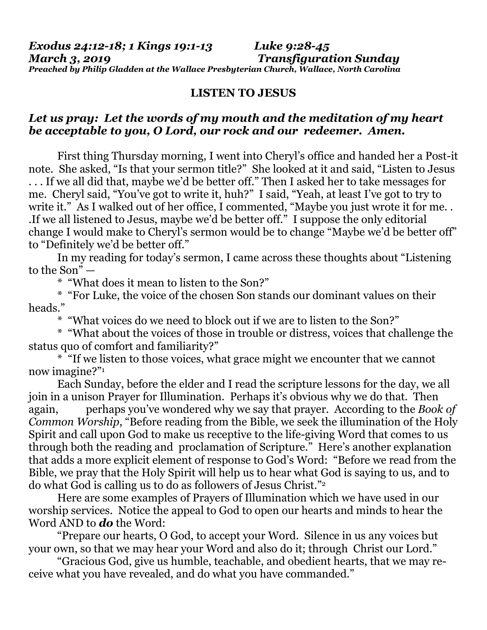## **LISTEN TO JESUS**

## *Let us pray: Let the words of my mouth and the meditation of my heart be acceptable to you, O Lord, our rock and our redeemer. Amen.*

First thing Thursday morning, I went into Cheryl's office and handed her a Post-it note. She asked, "Is that your sermon title?" She looked at it and said, "Listen to Jesus . . . If we all did that, maybe we'd be better off." Then I asked her to take messages for me. Cheryl said, "You've got to write it, huh?" I said, "Yeah, at least I've got to try to write it." As I walked out of her office, I commented, "Maybe you just wrote it for me.. .If we all listened to Jesus, maybe we'd be better off." I suppose the only editorial change I would make to Cheryl's sermon would be to change "Maybe we'd be better off" to "Definitely we'd be better off."

In my reading for today's sermon, I came across these thoughts about "Listening to the Son" —

\* "What does it mean to listen to the Son?"

\* "For Luke, the voice of the chosen Son stands our dominant values on their heads."

\* "What voices do we need to block out if we are to listen to the Son?"

\* "What about the voices of those in trouble or distress, voices that challenge the status quo of comfort and familiarity?"

\* "If we listen to those voices, what grace might we encounter that we cannot now imagine?"<sup>1</sup>

Each Sunday, before the elder and I read the scripture lessons for the day, we all join in a unison Prayer for Illumination. Perhaps it's obvious why we do that. Then again, perhaps you've wondered why we say that prayer. According to the *Book of Common Worship*, "Before reading from the Bible, we seek the illumination of the Holy Spirit and call upon God to make us receptive to the life-giving Word that comes to us through both the reading and proclamation of Scripture." Here's another explanation that adds a more explicit element of response to God's Word: "Before we read from the Bible, we pray that the Holy Spirit will help us to hear what God is saying to us, and to do what God is calling us to do as followers of Jesus Christ."<sup>2</sup>

Here are some examples of Prayers of Illumination which we have used in our worship services. Notice the appeal to God to open our hearts and minds to hear the Word AND to *do* the Word:

"Prepare our hearts, O God, to accept your Word. Silence in us any voices but your own, so that we may hear your Word and also do it; through Christ our Lord."

"Gracious God, give us humble, teachable, and obedient hearts, that we may receive what you have revealed, and do what you have commanded."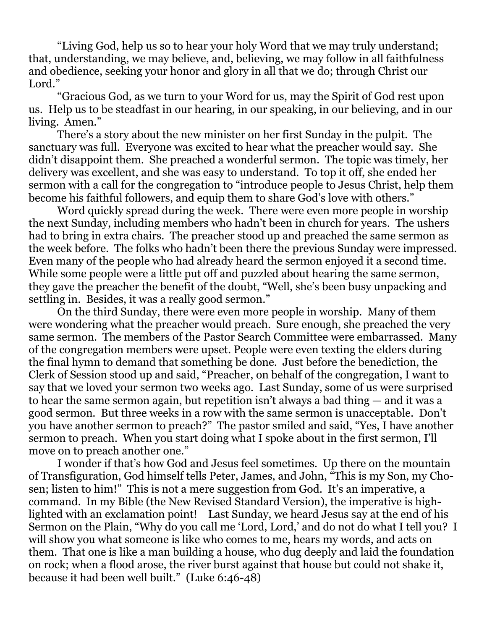"Living God, help us so to hear your holy Word that we may truly understand; that, understanding, we may believe, and, believing, we may follow in all faithfulness and obedience, seeking your honor and glory in all that we do; through Christ our Lord."

"Gracious God, as we turn to your Word for us, may the Spirit of God rest upon us. Help us to be steadfast in our hearing, in our speaking, in our believing, and in our living. Amen."

There's a story about the new minister on her first Sunday in the pulpit. The sanctuary was full. Everyone was excited to hear what the preacher would say. She didn't disappoint them. She preached a wonderful sermon. The topic was timely, her delivery was excellent, and she was easy to understand. To top it off, she ended her sermon with a call for the congregation to "introduce people to Jesus Christ, help them become his faithful followers, and equip them to share God's love with others."

Word quickly spread during the week. There were even more people in worship the next Sunday, including members who hadn't been in church for years. The ushers had to bring in extra chairs. The preacher stood up and preached the same sermon as the week before. The folks who hadn't been there the previous Sunday were impressed. Even many of the people who had already heard the sermon enjoyed it a second time. While some people were a little put off and puzzled about hearing the same sermon, they gave the preacher the benefit of the doubt, "Well, she's been busy unpacking and settling in. Besides, it was a really good sermon."

On the third Sunday, there were even more people in worship. Many of them were wondering what the preacher would preach. Sure enough, she preached the very same sermon. The members of the Pastor Search Committee were embarrassed. Many of the congregation members were upset. People were even texting the elders during the final hymn to demand that something be done. Just before the benediction, the Clerk of Session stood up and said, "Preacher, on behalf of the congregation, I want to say that we loved your sermon two weeks ago. Last Sunday, some of us were surprised to hear the same sermon again, but repetition isn't always a bad thing — and it was a good sermon. But three weeks in a row with the same sermon is unacceptable. Don't you have another sermon to preach?" The pastor smiled and said, "Yes, I have another sermon to preach. When you start doing what I spoke about in the first sermon, I'll move on to preach another one."

I wonder if that's how God and Jesus feel sometimes. Up there on the mountain of Transfiguration, God himself tells Peter, James, and John, "This is my Son, my Chosen; listen to him!" This is not a mere suggestion from God. It's an imperative, a command. In my Bible (the New Revised Standard Version), the imperative is highlighted with an exclamation point! Last Sunday, we heard Jesus say at the end of his Sermon on the Plain, "Why do you call me 'Lord, Lord,' and do not do what I tell you? I will show you what someone is like who comes to me, hears my words, and acts on them. That one is like a man building a house, who dug deeply and laid the foundation on rock; when a flood arose, the river burst against that house but could not shake it, because it had been well built." (Luke 6:46-48)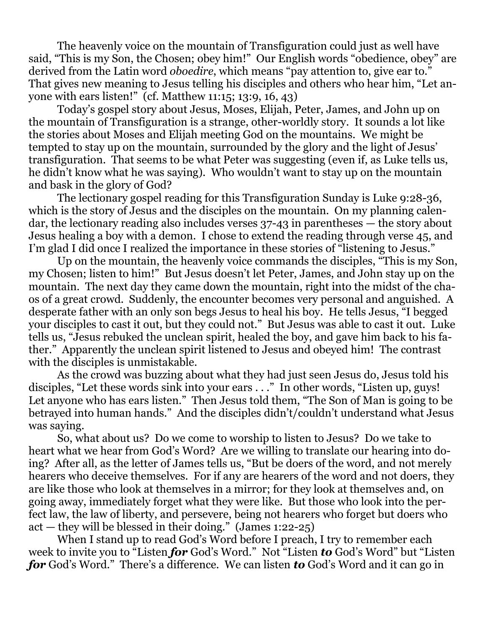The heavenly voice on the mountain of Transfiguration could just as well have said, "This is my Son, the Chosen; obey him!" Our English words "obedience, obey" are derived from the Latin word *oboedire*, which means "pay attention to, give ear to." That gives new meaning to Jesus telling his disciples and others who hear him, "Let anyone with ears listen!" (cf. Matthew 11:15; 13:9, 16, 43)

Today's gospel story about Jesus, Moses, Elijah, Peter, James, and John up on the mountain of Transfiguration is a strange, other-worldly story. It sounds a lot like the stories about Moses and Elijah meeting God on the mountains. We might be tempted to stay up on the mountain, surrounded by the glory and the light of Jesus' transfiguration. That seems to be what Peter was suggesting (even if, as Luke tells us, he didn't know what he was saying). Who wouldn't want to stay up on the mountain and bask in the glory of God?

The lectionary gospel reading for this Transfiguration Sunday is Luke 9:28-36, which is the story of Jesus and the disciples on the mountain. On my planning calendar, the lectionary reading also includes verses 37-43 in parentheses — the story about Jesus healing a boy with a demon. I chose to extend the reading through verse 45, and I'm glad I did once I realized the importance in these stories of "listening to Jesus."

Up on the mountain, the heavenly voice commands the disciples, "This is my Son, my Chosen; listen to him!" But Jesus doesn't let Peter, James, and John stay up on the mountain. The next day they came down the mountain, right into the midst of the chaos of a great crowd. Suddenly, the encounter becomes very personal and anguished. A desperate father with an only son begs Jesus to heal his boy. He tells Jesus, "I begged your disciples to cast it out, but they could not." But Jesus was able to cast it out. Luke tells us, "Jesus rebuked the unclean spirit, healed the boy, and gave him back to his father." Apparently the unclean spirit listened to Jesus and obeyed him! The contrast with the disciples is unmistakable.

As the crowd was buzzing about what they had just seen Jesus do, Jesus told his disciples, "Let these words sink into your ears . . ." In other words, "Listen up, guys! Let anyone who has ears listen." Then Jesus told them, "The Son of Man is going to be betrayed into human hands." And the disciples didn't/couldn't understand what Jesus was saying.

So, what about us? Do we come to worship to listen to Jesus? Do we take to heart what we hear from God's Word? Are we willing to translate our hearing into doing? After all, as the letter of James tells us, "But be doers of the word, and not merely hearers who deceive themselves. For if any are hearers of the word and not doers, they are like those who look at themselves in a mirror; for they look at themselves and, on going away, immediately forget what they were like. But those who look into the perfect law, the law of liberty, and persevere, being not hearers who forget but doers who act — they will be blessed in their doing." (James 1:22-25)

When I stand up to read God's Word before I preach, I try to remember each week to invite you to "Listen *for* God's Word." Not "Listen *to* God's Word" but "Listen *for* God's Word." There's a difference. We can listen *to* God's Word and it can go in